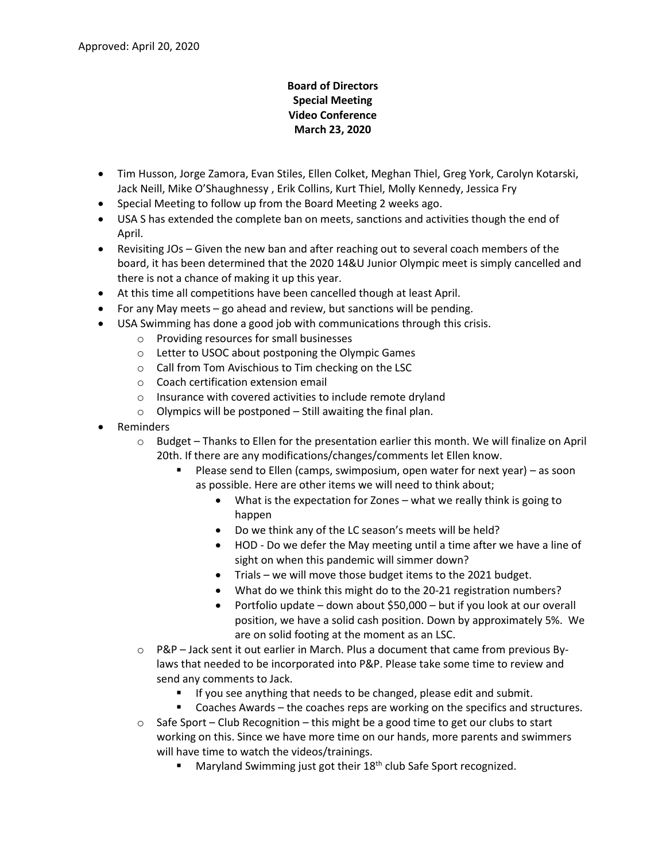## **Board of Directors Special Meeting Video Conference March 23, 2020**

- Tim Husson, Jorge Zamora, Evan Stiles, Ellen Colket, Meghan Thiel, Greg York, Carolyn Kotarski, Jack Neill, Mike O'Shaughnessy , Erik Collins, Kurt Thiel, Molly Kennedy, Jessica Fry
- Special Meeting to follow up from the Board Meeting 2 weeks ago.
- USA S has extended the complete ban on meets, sanctions and activities though the end of April.
- Revisiting JOs Given the new ban and after reaching out to several coach members of the board, it has been determined that the 2020 14&U Junior Olympic meet is simply cancelled and there is not a chance of making it up this year.
- At this time all competitions have been cancelled though at least April.
- For any May meets go ahead and review, but sanctions will be pending.
- USA Swimming has done a good job with communications through this crisis.
	- o Providing resources for small businesses
	- o Letter to USOC about postponing the Olympic Games
	- o Call from Tom Avischious to Tim checking on the LSC
	- o Coach certification extension email
	- o Insurance with covered activities to include remote dryland
	- o Olympics will be postponed Still awaiting the final plan.
- Reminders
	- o Budget Thanks to Ellen for the presentation earlier this month. We will finalize on April 20th. If there are any modifications/changes/comments let Ellen know.
		- Please send to Ellen (camps, swimposium, open water for next year) as soon as possible. Here are other items we will need to think about;
			- What is the expectation for Zones what we really think is going to happen
			- Do we think any of the LC season's meets will be held?
			- HOD Do we defer the May meeting until a time after we have a line of sight on when this pandemic will simmer down?
			- Trials we will move those budget items to the 2021 budget.
			- What do we think this might do to the 20-21 registration numbers?
			- Portfolio update down about \$50,000 but if you look at our overall position, we have a solid cash position. Down by approximately 5%. We are on solid footing at the moment as an LSC.
	- o P&P Jack sent it out earlier in March. Plus a document that came from previous Bylaws that needed to be incorporated into P&P. Please take some time to review and send any comments to Jack.
		- If you see anything that needs to be changed, please edit and submit.
		- Coaches Awards the coaches reps are working on the specifics and structures.
	- $\circ$  Safe Sport Club Recognition this might be a good time to get our clubs to start working on this. Since we have more time on our hands, more parents and swimmers will have time to watch the videos/trainings.
		- Maryland Swimming just got their 18<sup>th</sup> club Safe Sport recognized.